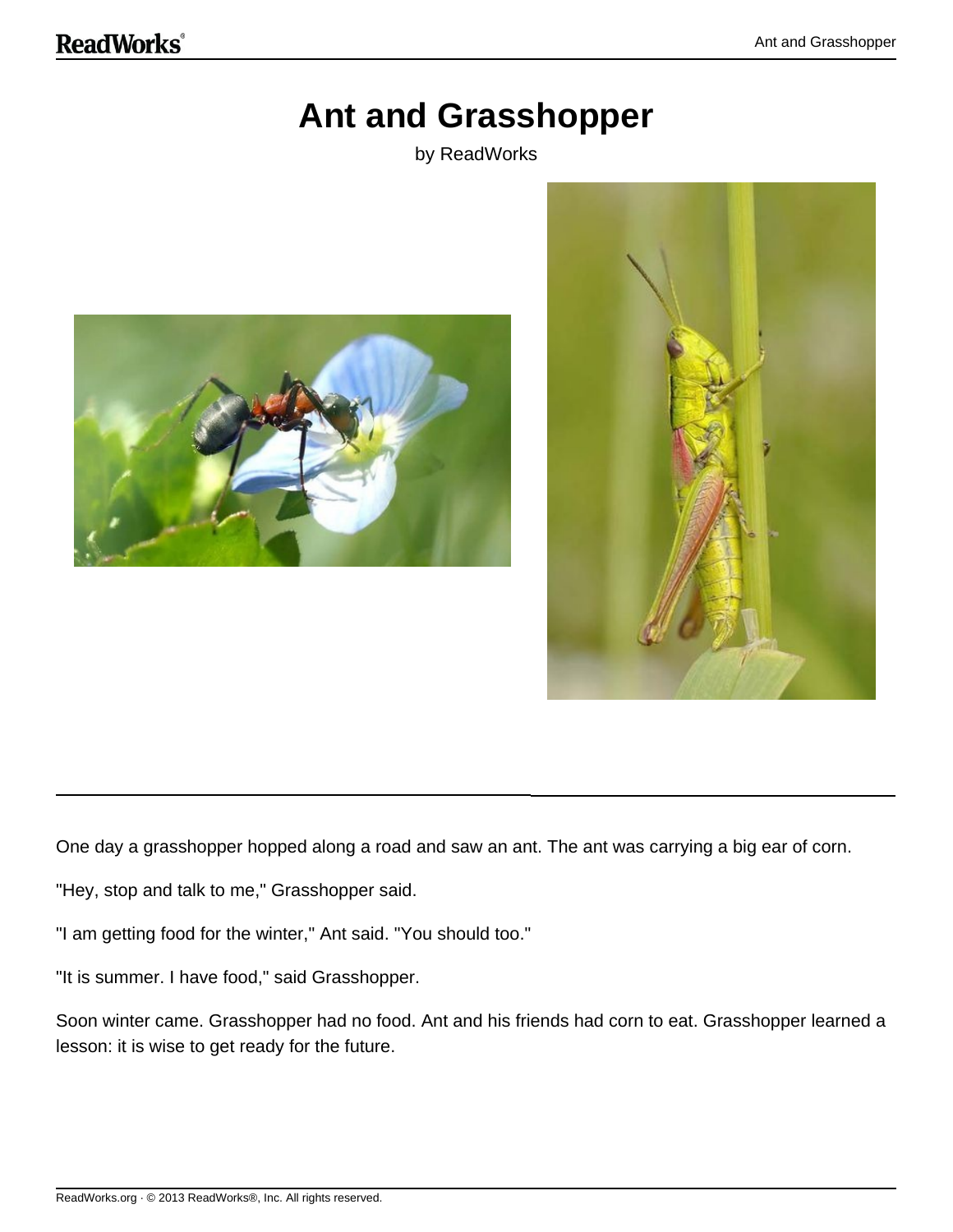## **Ant and Grasshopper**

by ReadWorks





One day a grasshopper hopped along a road and saw an ant. The ant was carrying a big ear of corn.

"Hey, stop and talk to me," Grasshopper said.

"I am getting food for the winter," Ant said. "You should too."

"It is summer. I have food," said Grasshopper.

Soon winter came. Grasshopper had no food. Ant and his friends had corn to eat. Grasshopper learned a lesson: it is wise to get ready for the future.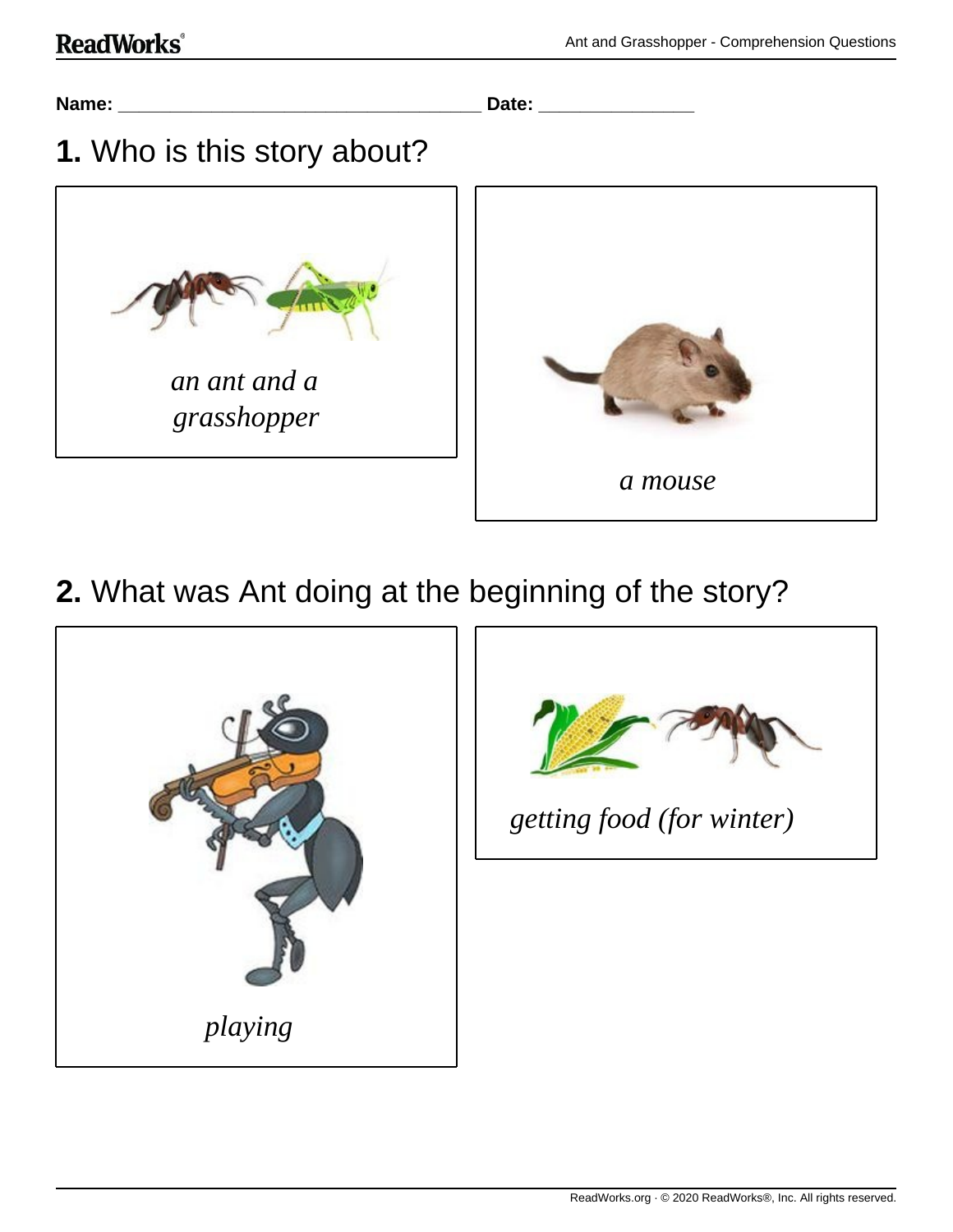

**2.** What was Ant doing at the beginning of the story?



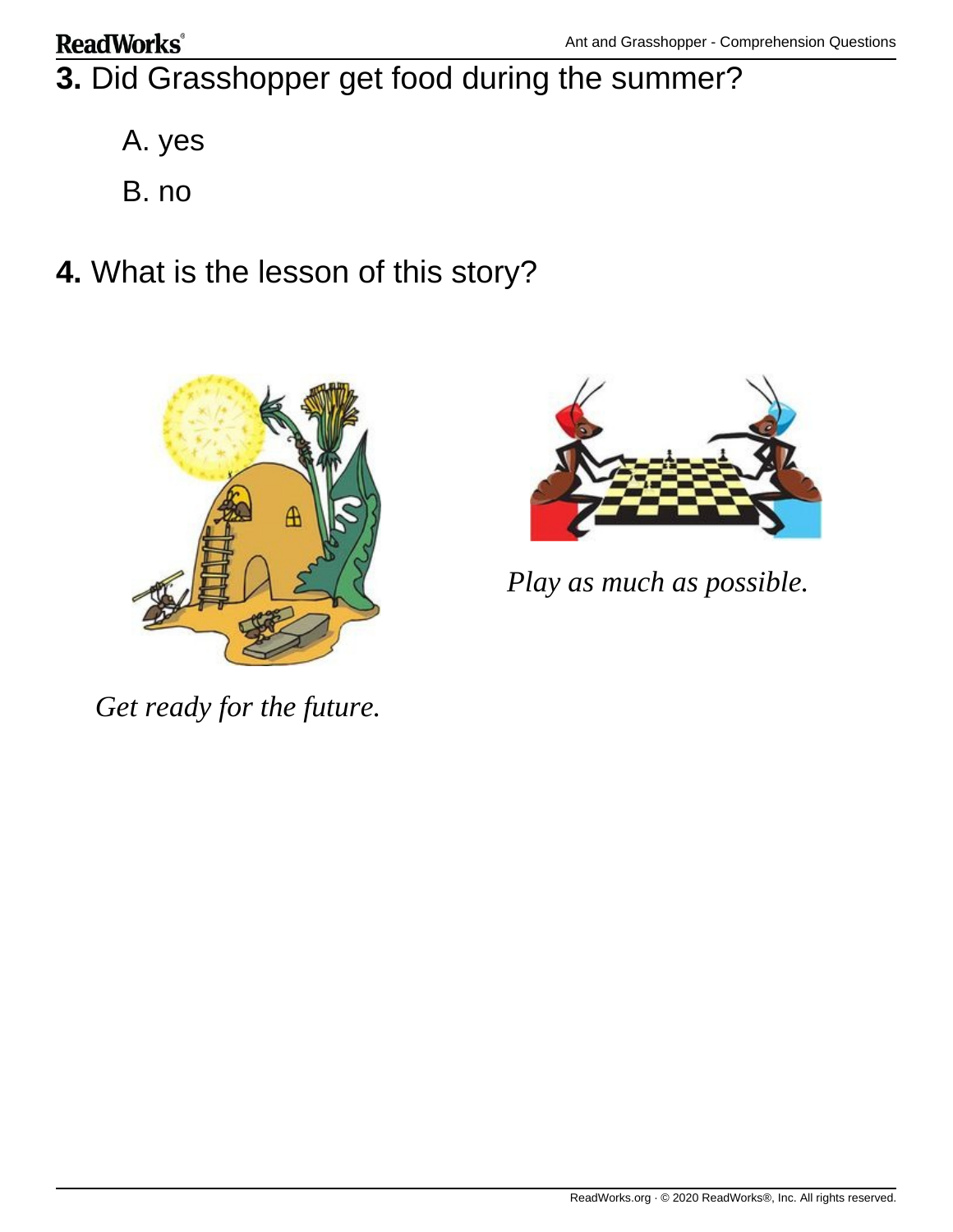## **ReadWorks**®

- **3.** Did Grasshopper get food during the summer?
	- A. yes
	- B. no
- **4.** What is the lesson of this story?





*Play as much as possible.*

*Get ready for the future.*